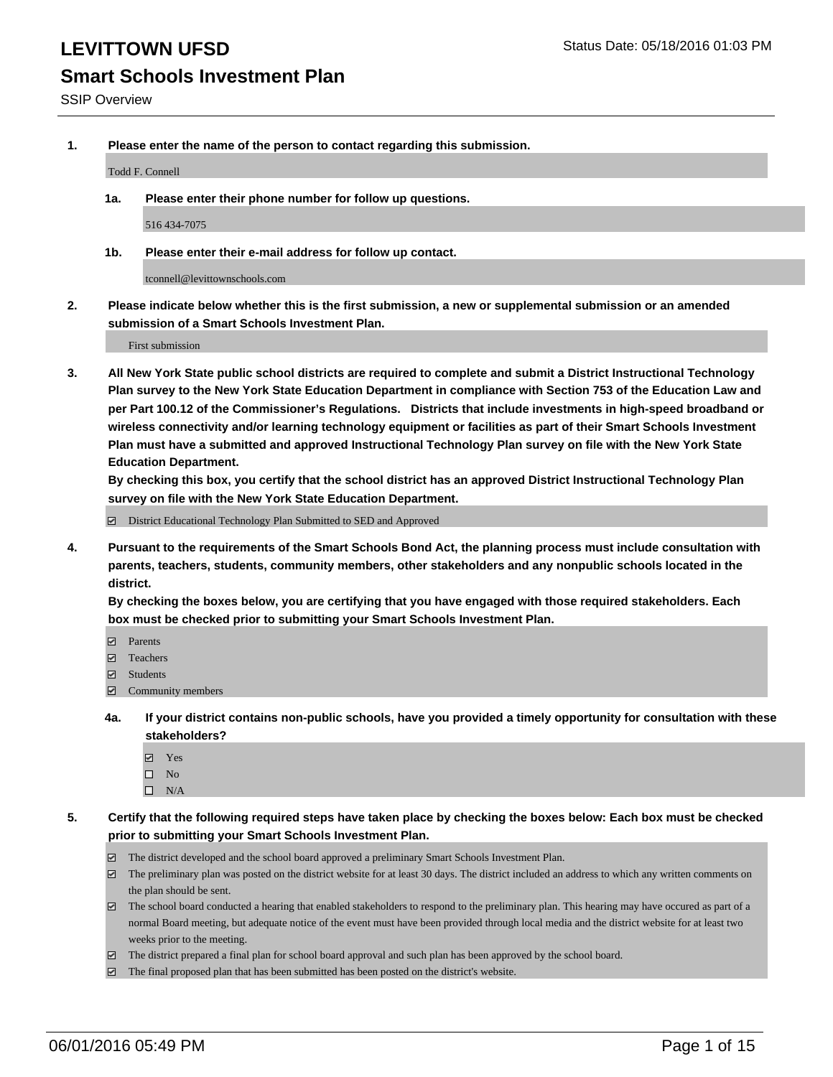# **Smart Schools Investment Plan**

**1. Please enter the name of the person to contact regarding this submission.**

Todd F. Connell

**1a. Please enter their phone number for follow up questions.**

516 434-7075

**1b. Please enter their e-mail address for follow up contact.**

tconnell@levittownschools.com

**2. Please indicate below whether this is the first submission, a new or supplemental submission or an amended submission of a Smart Schools Investment Plan.**

First submission

**3. All New York State public school districts are required to complete and submit a District Instructional Technology Plan survey to the New York State Education Department in compliance with Section 753 of the Education Law and per Part 100.12 of the Commissioner's Regulations. Districts that include investments in high-speed broadband or wireless connectivity and/or learning technology equipment or facilities as part of their Smart Schools Investment Plan must have a submitted and approved Instructional Technology Plan survey on file with the New York State Education Department.** 

**By checking this box, you certify that the school district has an approved District Instructional Technology Plan survey on file with the New York State Education Department.**

■ District Educational Technology Plan Submitted to SED and Approved

**4. Pursuant to the requirements of the Smart Schools Bond Act, the planning process must include consultation with parents, teachers, students, community members, other stakeholders and any nonpublic schools located in the district.** 

**By checking the boxes below, you are certifying that you have engaged with those required stakeholders. Each box must be checked prior to submitting your Smart Schools Investment Plan.**

- **Parents**
- □ Teachers
- Students
- $\boxdot$  Community members
- **4a. If your district contains non-public schools, have you provided a timely opportunity for consultation with these stakeholders?**
	- Yes
	- $\square$  No
	- $\Box$  N/A
- **5. Certify that the following required steps have taken place by checking the boxes below: Each box must be checked prior to submitting your Smart Schools Investment Plan.**
	- The district developed and the school board approved a preliminary Smart Schools Investment Plan.
	- The preliminary plan was posted on the district website for at least 30 days. The district included an address to which any written comments on the plan should be sent.
	- $\Box$  The school board conducted a hearing that enabled stakeholders to respond to the preliminary plan. This hearing may have occured as part of a normal Board meeting, but adequate notice of the event must have been provided through local media and the district website for at least two weeks prior to the meeting.
	- The district prepared a final plan for school board approval and such plan has been approved by the school board.
	- The final proposed plan that has been submitted has been posted on the district's website.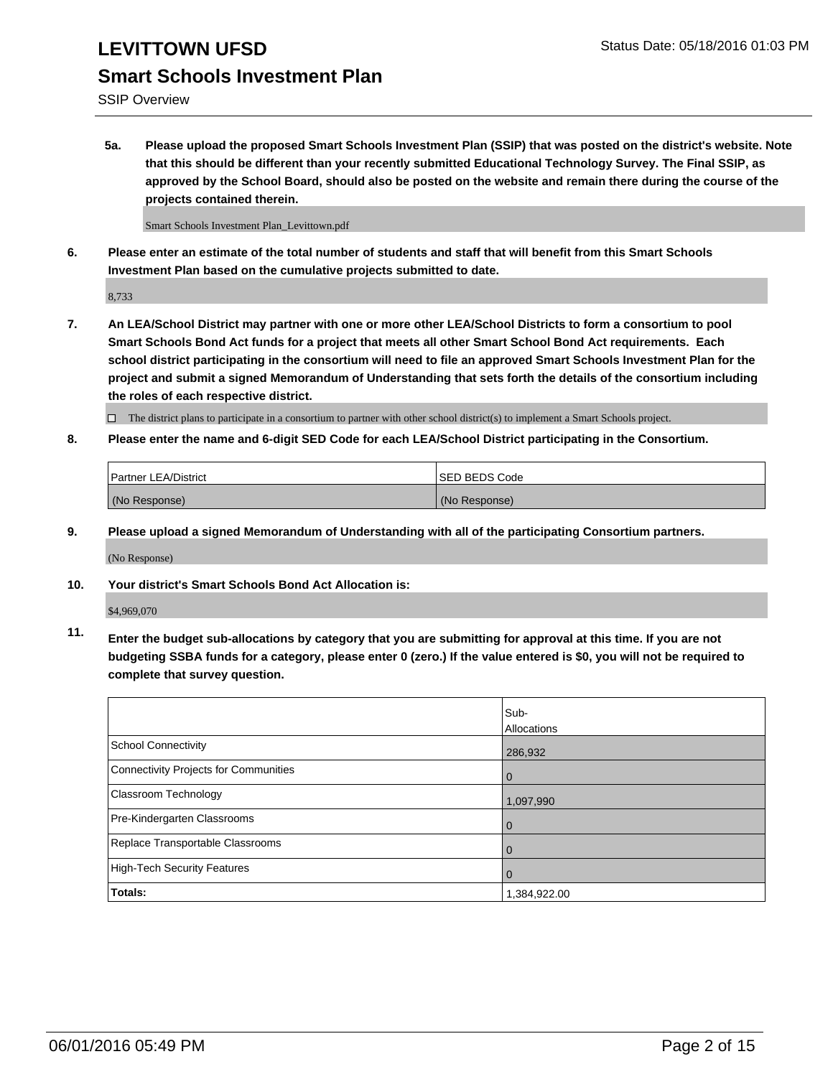SSIP Overview

**5a. Please upload the proposed Smart Schools Investment Plan (SSIP) that was posted on the district's website. Note that this should be different than your recently submitted Educational Technology Survey. The Final SSIP, as approved by the School Board, should also be posted on the website and remain there during the course of the projects contained therein.**

Smart Schools Investment Plan\_Levittown.pdf

**6. Please enter an estimate of the total number of students and staff that will benefit from this Smart Schools Investment Plan based on the cumulative projects submitted to date.**

8,733

**7. An LEA/School District may partner with one or more other LEA/School Districts to form a consortium to pool Smart Schools Bond Act funds for a project that meets all other Smart School Bond Act requirements. Each school district participating in the consortium will need to file an approved Smart Schools Investment Plan for the project and submit a signed Memorandum of Understanding that sets forth the details of the consortium including the roles of each respective district.**

 $\Box$  The district plans to participate in a consortium to partner with other school district(s) to implement a Smart Schools project.

**8. Please enter the name and 6-digit SED Code for each LEA/School District participating in the Consortium.**

| <b>Partner LEA/District</b> | <b>ISED BEDS Code</b> |
|-----------------------------|-----------------------|
| (No Response)               | (No Response)         |

**9. Please upload a signed Memorandum of Understanding with all of the participating Consortium partners.**

(No Response)

**10. Your district's Smart Schools Bond Act Allocation is:**

\$4,969,070

**11. Enter the budget sub-allocations by category that you are submitting for approval at this time. If you are not budgeting SSBA funds for a category, please enter 0 (zero.) If the value entered is \$0, you will not be required to complete that survey question.**

|                                       | Sub-<br>Allocations |
|---------------------------------------|---------------------|
| <b>School Connectivity</b>            | 286,932             |
| Connectivity Projects for Communities | 0                   |
| <b>Classroom Technology</b>           | 1,097,990           |
| Pre-Kindergarten Classrooms           | 0                   |
| Replace Transportable Classrooms      | 0                   |
| High-Tech Security Features           | 0                   |
| Totals:                               | 1,384,922.00        |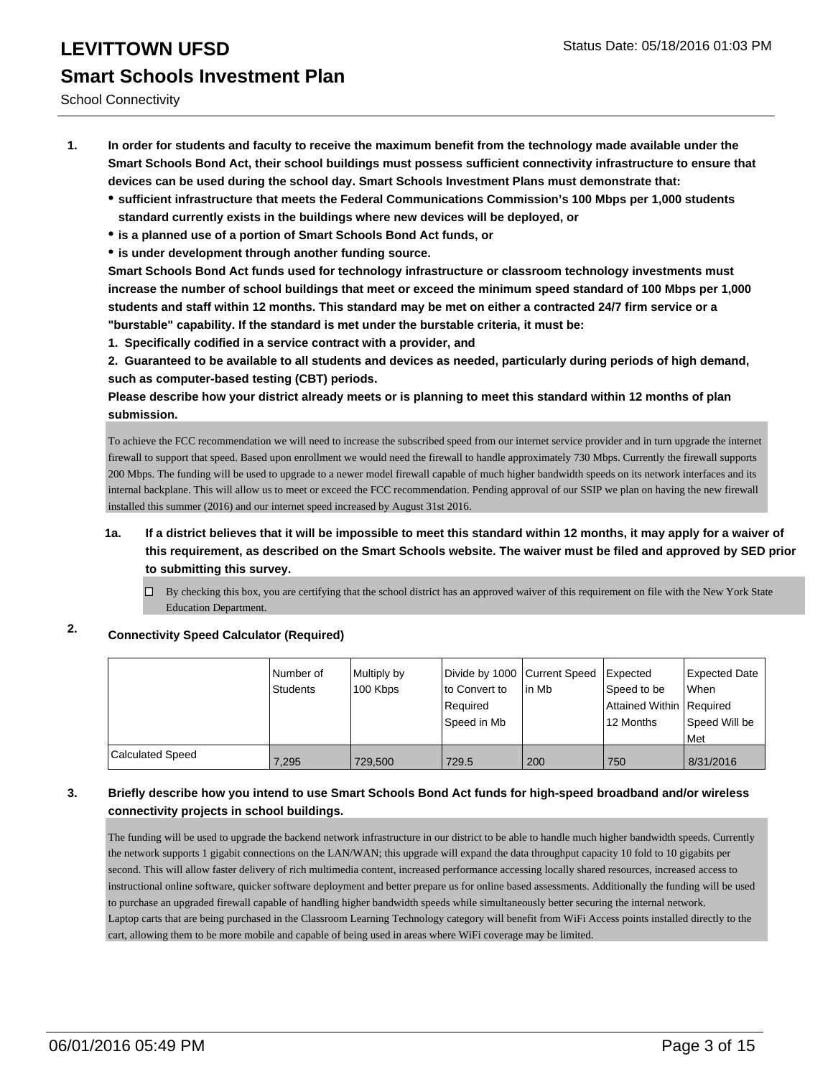School Connectivity

- **1. In order for students and faculty to receive the maximum benefit from the technology made available under the Smart Schools Bond Act, their school buildings must possess sufficient connectivity infrastructure to ensure that devices can be used during the school day. Smart Schools Investment Plans must demonstrate that:**
	- **sufficient infrastructure that meets the Federal Communications Commission's 100 Mbps per 1,000 students standard currently exists in the buildings where new devices will be deployed, or**
	- **is a planned use of a portion of Smart Schools Bond Act funds, or**
	- **is under development through another funding source.**

**Smart Schools Bond Act funds used for technology infrastructure or classroom technology investments must increase the number of school buildings that meet or exceed the minimum speed standard of 100 Mbps per 1,000 students and staff within 12 months. This standard may be met on either a contracted 24/7 firm service or a "burstable" capability. If the standard is met under the burstable criteria, it must be:**

**1. Specifically codified in a service contract with a provider, and**

**2. Guaranteed to be available to all students and devices as needed, particularly during periods of high demand, such as computer-based testing (CBT) periods.**

**Please describe how your district already meets or is planning to meet this standard within 12 months of plan submission.**

To achieve the FCC recommendation we will need to increase the subscribed speed from our internet service provider and in turn upgrade the internet firewall to support that speed. Based upon enrollment we would need the firewall to handle approximately 730 Mbps. Currently the firewall supports 200 Mbps. The funding will be used to upgrade to a newer model firewall capable of much higher bandwidth speeds on its network interfaces and its internal backplane. This will allow us to meet or exceed the FCC recommendation. Pending approval of our SSIP we plan on having the new firewall installed this summer (2016) and our internet speed increased by August 31st 2016.

- **1a. If a district believes that it will be impossible to meet this standard within 12 months, it may apply for a waiver of this requirement, as described on the Smart Schools website. The waiver must be filed and approved by SED prior to submitting this survey.**
	- By checking this box, you are certifying that the school district has an approved waiver of this requirement on file with the New York State Education Department.

### **2. Connectivity Speed Calculator (Required)**

|                  | Number of<br>Students | Multiply by<br>100 Kbps | Divide by 1000 Current Speed<br>Ito Convert to<br>l Reauired<br>lSpeed in Mb | lin Mb | Expected<br>Speed to be<br>Attained Within   Required<br>12 Months | Expected Date<br>When<br>Speed Will be<br>Met |
|------------------|-----------------------|-------------------------|------------------------------------------------------------------------------|--------|--------------------------------------------------------------------|-----------------------------------------------|
| Calculated Speed | 7.295                 | 729,500                 | 729.5                                                                        | 200    | 750                                                                | 8/31/2016                                     |

#### **3. Briefly describe how you intend to use Smart Schools Bond Act funds for high-speed broadband and/or wireless connectivity projects in school buildings.**

The funding will be used to upgrade the backend network infrastructure in our district to be able to handle much higher bandwidth speeds. Currently the network supports 1 gigabit connections on the LAN/WAN; this upgrade will expand the data throughput capacity 10 fold to 10 gigabits per second. This will allow faster delivery of rich multimedia content, increased performance accessing locally shared resources, increased access to instructional online software, quicker software deployment and better prepare us for online based assessments. Additionally the funding will be used to purchase an upgraded firewall capable of handling higher bandwidth speeds while simultaneously better securing the internal network. Laptop carts that are being purchased in the Classroom Learning Technology category will benefit from WiFi Access points installed directly to the cart, allowing them to be more mobile and capable of being used in areas where WiFi coverage may be limited.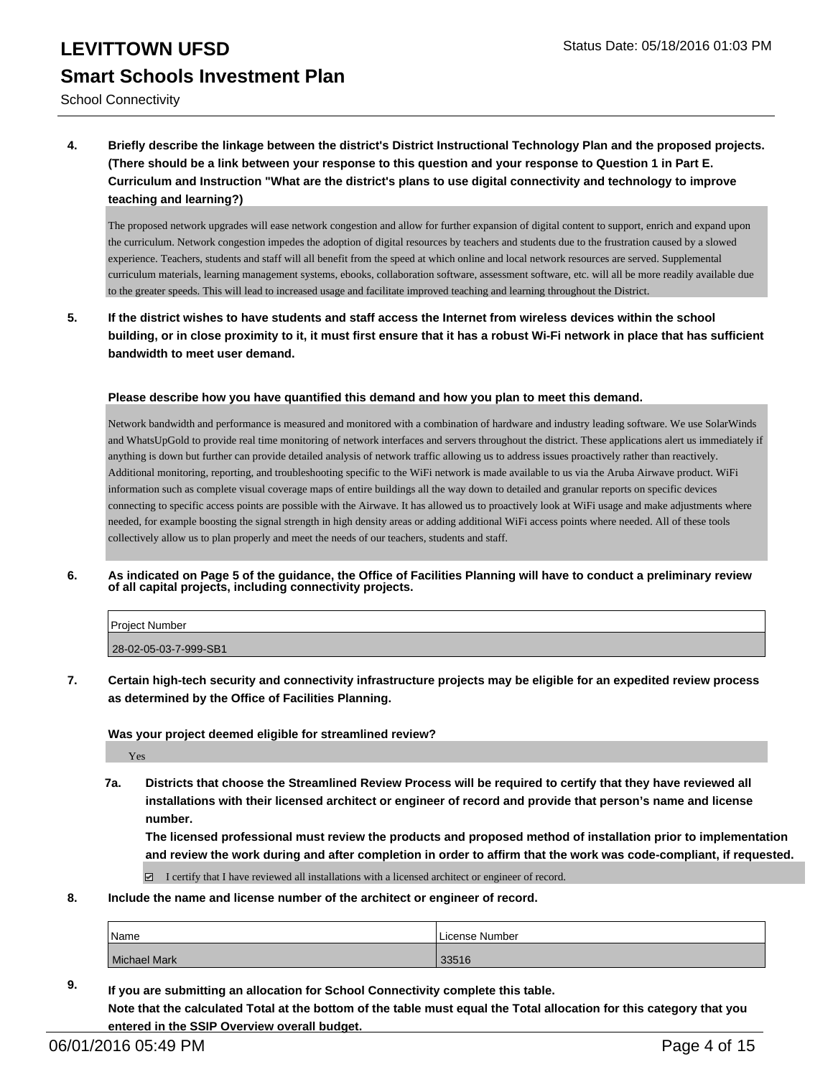School Connectivity

**4. Briefly describe the linkage between the district's District Instructional Technology Plan and the proposed projects. (There should be a link between your response to this question and your response to Question 1 in Part E. Curriculum and Instruction "What are the district's plans to use digital connectivity and technology to improve teaching and learning?)**

The proposed network upgrades will ease network congestion and allow for further expansion of digital content to support, enrich and expand upon the curriculum. Network congestion impedes the adoption of digital resources by teachers and students due to the frustration caused by a slowed experience. Teachers, students and staff will all benefit from the speed at which online and local network resources are served. Supplemental curriculum materials, learning management systems, ebooks, collaboration software, assessment software, etc. will all be more readily available due to the greater speeds. This will lead to increased usage and facilitate improved teaching and learning throughout the District.

**5. If the district wishes to have students and staff access the Internet from wireless devices within the school building, or in close proximity to it, it must first ensure that it has a robust Wi-Fi network in place that has sufficient bandwidth to meet user demand.**

#### **Please describe how you have quantified this demand and how you plan to meet this demand.**

Network bandwidth and performance is measured and monitored with a combination of hardware and industry leading software. We use SolarWinds and WhatsUpGold to provide real time monitoring of network interfaces and servers throughout the district. These applications alert us immediately if anything is down but further can provide detailed analysis of network traffic allowing us to address issues proactively rather than reactively. Additional monitoring, reporting, and troubleshooting specific to the WiFi network is made available to us via the Aruba Airwave product. WiFi information such as complete visual coverage maps of entire buildings all the way down to detailed and granular reports on specific devices connecting to specific access points are possible with the Airwave. It has allowed us to proactively look at WiFi usage and make adjustments where needed, for example boosting the signal strength in high density areas or adding additional WiFi access points where needed. All of these tools collectively allow us to plan properly and meet the needs of our teachers, students and staff.

**6. As indicated on Page 5 of the guidance, the Office of Facilities Planning will have to conduct a preliminary review of all capital projects, including connectivity projects.**

| <b>Project Number</b> |  |
|-----------------------|--|
| 28-02-05-03-7-999-SB1 |  |

**7. Certain high-tech security and connectivity infrastructure projects may be eligible for an expedited review process as determined by the Office of Facilities Planning.**

#### **Was your project deemed eligible for streamlined review?**

Yes

**7a. Districts that choose the Streamlined Review Process will be required to certify that they have reviewed all installations with their licensed architect or engineer of record and provide that person's name and license number.**

**The licensed professional must review the products and proposed method of installation prior to implementation and review the work during and after completion in order to affirm that the work was code-compliant, if requested.**

I certify that I have reviewed all installations with a licensed architect or engineer of record.

**8. Include the name and license number of the architect or engineer of record.**

| Name           | l License Number |
|----------------|------------------|
| l Michael Mark | 2254C<br>33516   |

**9. If you are submitting an allocation for School Connectivity complete this table. Note that the calculated Total at the bottom of the table must equal the Total allocation for this category that you entered in the SSIP Overview overall budget.**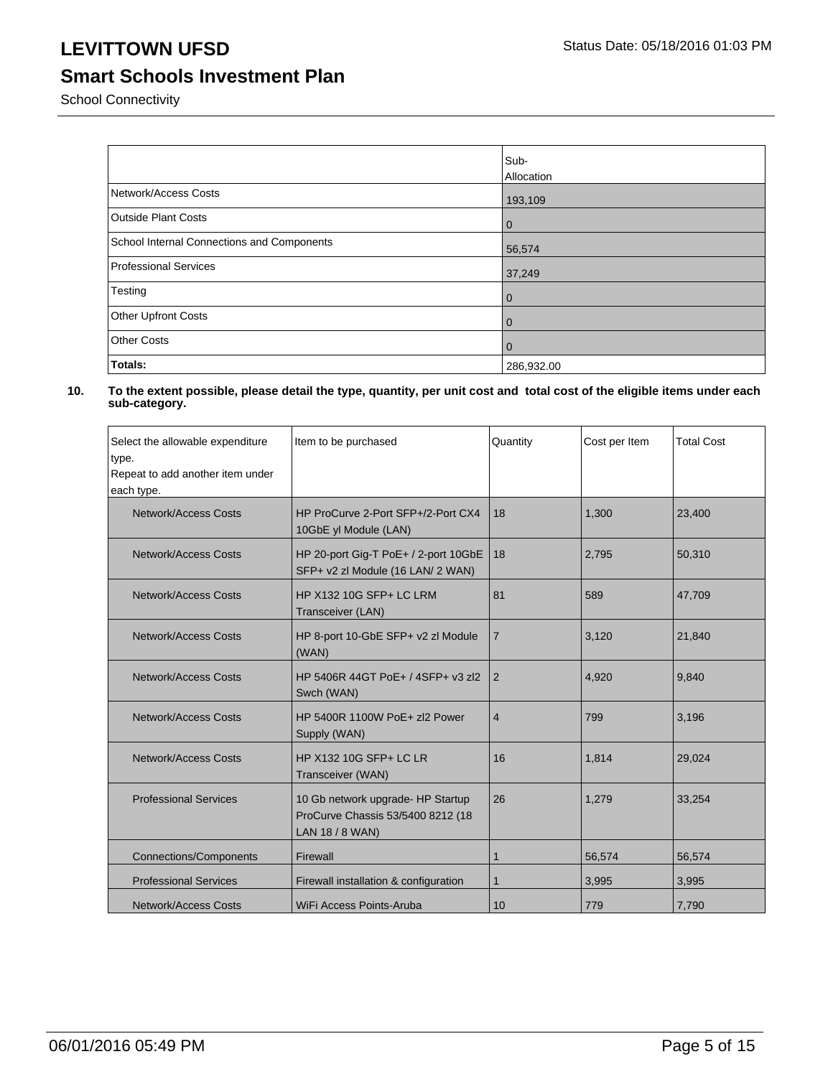### **LEVITTOWN UFSD** Status Date: 05/18/2016 01:03 PM

### **Smart Schools Investment Plan**

School Connectivity

|                                            | Sub-<br>Allocation |
|--------------------------------------------|--------------------|
| Network/Access Costs                       | 193,109            |
| <b>Outside Plant Costs</b>                 | $\overline{0}$     |
| School Internal Connections and Components | 56,574             |
| <b>Professional Services</b>               | 37,249             |
| Testing                                    | $\overline{0}$     |
| Other Upfront Costs                        | $\mathbf 0$        |
| <b>Other Costs</b>                         | $\overline{0}$     |
| Totals:                                    | 286,932.00         |

| Select the allowable expenditure<br>type.<br>Repeat to add another item under<br>each type. | Item to be purchased                                                                      | Quantity       | Cost per Item | <b>Total Cost</b> |
|---------------------------------------------------------------------------------------------|-------------------------------------------------------------------------------------------|----------------|---------------|-------------------|
| <b>Network/Access Costs</b>                                                                 | HP ProCurve 2-Port SFP+/2-Port CX4<br>10GbE yl Module (LAN)                               | 18             | 1,300         | 23,400            |
| <b>Network/Access Costs</b>                                                                 | HP 20-port Gig-T PoE+ / 2-port 10GbE<br>SFP+ v2 zl Module (16 LAN/ 2 WAN)                 | 18             | 2.795         | 50,310            |
| <b>Network/Access Costs</b>                                                                 | HP X132 10G SFP+ LC LRM<br>Transceiver (LAN)                                              | 81             | 589           | 47,709            |
| Network/Access Costs                                                                        | HP 8-port 10-GbE SFP+ v2 zl Module<br>(WAN)                                               | $\overline{7}$ | 3,120         | 21,840            |
| Network/Access Costs                                                                        | HP 5406R 44GT PoE+ / 4SFP+ v3 zl2<br>Swch (WAN)                                           | 2              | 4,920         | 9,840             |
| Network/Access Costs                                                                        | HP 5400R 1100W PoE+ zl2 Power<br>Supply (WAN)                                             | $\overline{4}$ | 799           | 3,196             |
| <b>Network/Access Costs</b>                                                                 | HP X132 10G SFP+ LC LR<br>Transceiver (WAN)                                               | 16             | 1,814         | 29,024            |
| <b>Professional Services</b>                                                                | 10 Gb network upgrade- HP Startup<br>ProCurve Chassis 53/5400 8212 (18<br>LAN 18 / 8 WAN) | 26             | 1,279         | 33,254            |
| <b>Connections/Components</b>                                                               | Firewall                                                                                  | 1              | 56,574        | 56,574            |
| <b>Professional Services</b>                                                                | Firewall installation & configuration                                                     | $\mathbf{1}$   | 3,995         | 3,995             |
| <b>Network/Access Costs</b>                                                                 | WiFi Access Points-Aruba                                                                  | 10             | 779           | 7,790             |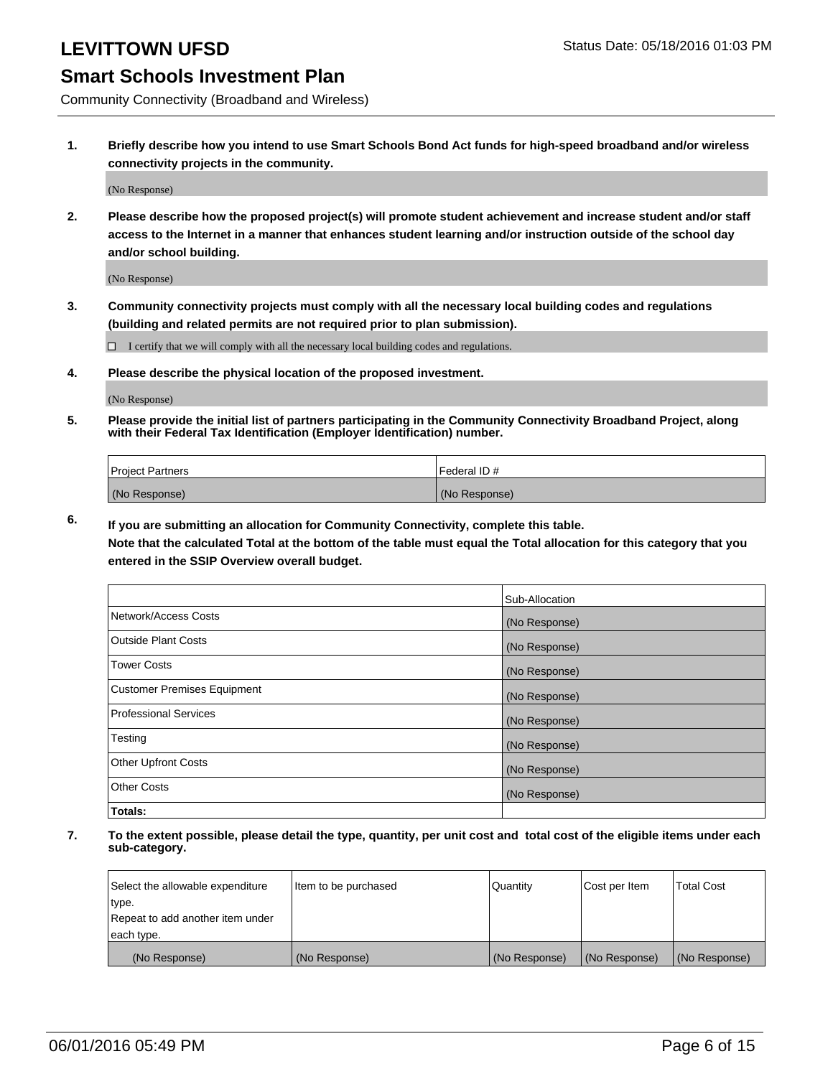### **Smart Schools Investment Plan**

Community Connectivity (Broadband and Wireless)

**1. Briefly describe how you intend to use Smart Schools Bond Act funds for high-speed broadband and/or wireless connectivity projects in the community.**

(No Response)

**2. Please describe how the proposed project(s) will promote student achievement and increase student and/or staff access to the Internet in a manner that enhances student learning and/or instruction outside of the school day and/or school building.**

(No Response)

**3. Community connectivity projects must comply with all the necessary local building codes and regulations (building and related permits are not required prior to plan submission).**

 $\Box$  I certify that we will comply with all the necessary local building codes and regulations.

**4. Please describe the physical location of the proposed investment.**

(No Response)

**5. Please provide the initial list of partners participating in the Community Connectivity Broadband Project, along with their Federal Tax Identification (Employer Identification) number.**

| <b>Project Partners</b> | <b>IFederal ID#</b> |
|-------------------------|---------------------|
| (No Response)           | (No Response)       |

**6. If you are submitting an allocation for Community Connectivity, complete this table.**

**Note that the calculated Total at the bottom of the table must equal the Total allocation for this category that you entered in the SSIP Overview overall budget.**

|                                    | Sub-Allocation |
|------------------------------------|----------------|
| Network/Access Costs               | (No Response)  |
| Outside Plant Costs                | (No Response)  |
| <b>Tower Costs</b>                 | (No Response)  |
| <b>Customer Premises Equipment</b> | (No Response)  |
| Professional Services              | (No Response)  |
| Testing                            | (No Response)  |
| <b>Other Upfront Costs</b>         | (No Response)  |
| Other Costs                        | (No Response)  |
| Totals:                            |                |

| Select the allowable expenditure | litem to be purchased | Quantity      | Cost per Item | <b>Total Cost</b> |
|----------------------------------|-----------------------|---------------|---------------|-------------------|
| type.                            |                       |               |               |                   |
| Repeat to add another item under |                       |               |               |                   |
| each type.                       |                       |               |               |                   |
| (No Response)                    | (No Response)         | (No Response) | (No Response) | (No Response)     |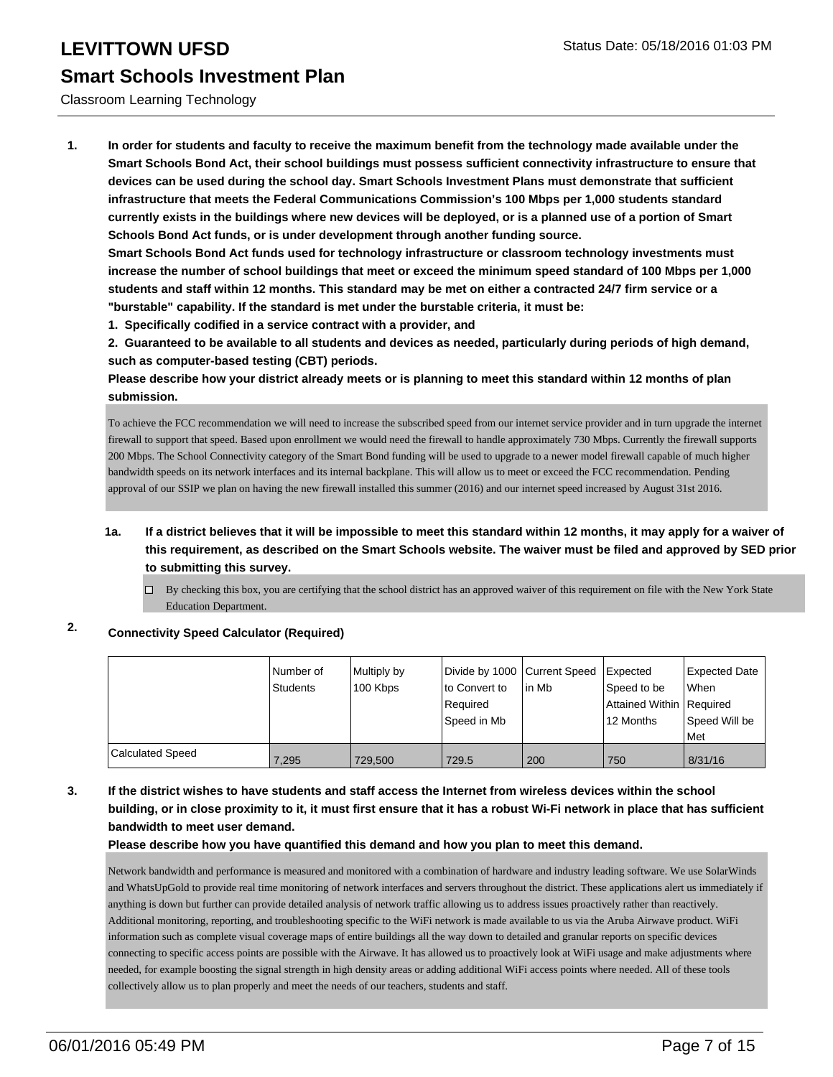#### Classroom Learning Technology

**1. In order for students and faculty to receive the maximum benefit from the technology made available under the Smart Schools Bond Act, their school buildings must possess sufficient connectivity infrastructure to ensure that devices can be used during the school day. Smart Schools Investment Plans must demonstrate that sufficient infrastructure that meets the Federal Communications Commission's 100 Mbps per 1,000 students standard currently exists in the buildings where new devices will be deployed, or is a planned use of a portion of Smart Schools Bond Act funds, or is under development through another funding source.**

**Smart Schools Bond Act funds used for technology infrastructure or classroom technology investments must increase the number of school buildings that meet or exceed the minimum speed standard of 100 Mbps per 1,000 students and staff within 12 months. This standard may be met on either a contracted 24/7 firm service or a "burstable" capability. If the standard is met under the burstable criteria, it must be:**

**1. Specifically codified in a service contract with a provider, and**

**2. Guaranteed to be available to all students and devices as needed, particularly during periods of high demand, such as computer-based testing (CBT) periods.**

**Please describe how your district already meets or is planning to meet this standard within 12 months of plan submission.**

To achieve the FCC recommendation we will need to increase the subscribed speed from our internet service provider and in turn upgrade the internet firewall to support that speed. Based upon enrollment we would need the firewall to handle approximately 730 Mbps. Currently the firewall supports 200 Mbps. The School Connectivity category of the Smart Bond funding will be used to upgrade to a newer model firewall capable of much higher bandwidth speeds on its network interfaces and its internal backplane. This will allow us to meet or exceed the FCC recommendation. Pending approval of our SSIP we plan on having the new firewall installed this summer (2016) and our internet speed increased by August 31st 2016.

- **1a. If a district believes that it will be impossible to meet this standard within 12 months, it may apply for a waiver of this requirement, as described on the Smart Schools website. The waiver must be filed and approved by SED prior to submitting this survey.**
	- $\Box$  By checking this box, you are certifying that the school district has an approved waiver of this requirement on file with the New York State Education Department.

### **2. Connectivity Speed Calculator (Required)**

|                         | INumber of<br>Students | Multiply by<br>100 Kbps | Divide by 1000 Current Speed<br>lto Convert to<br>Required<br>Speed in Mb | lin Mb | <b>I</b> Expected<br>Speed to be<br>Attained Within Required<br>12 Months | Expected Date<br><b>When</b><br>Speed Will be<br>l Met |
|-------------------------|------------------------|-------------------------|---------------------------------------------------------------------------|--------|---------------------------------------------------------------------------|--------------------------------------------------------|
| <b>Calculated Speed</b> | 7.295                  | 729.500                 | 729.5                                                                     | 200    | 750                                                                       | 8/31/16                                                |

### **3. If the district wishes to have students and staff access the Internet from wireless devices within the school building, or in close proximity to it, it must first ensure that it has a robust Wi-Fi network in place that has sufficient bandwidth to meet user demand.**

#### **Please describe how you have quantified this demand and how you plan to meet this demand.**

Network bandwidth and performance is measured and monitored with a combination of hardware and industry leading software. We use SolarWinds and WhatsUpGold to provide real time monitoring of network interfaces and servers throughout the district. These applications alert us immediately if anything is down but further can provide detailed analysis of network traffic allowing us to address issues proactively rather than reactively. Additional monitoring, reporting, and troubleshooting specific to the WiFi network is made available to us via the Aruba Airwave product. WiFi information such as complete visual coverage maps of entire buildings all the way down to detailed and granular reports on specific devices connecting to specific access points are possible with the Airwave. It has allowed us to proactively look at WiFi usage and make adjustments where needed, for example boosting the signal strength in high density areas or adding additional WiFi access points where needed. All of these tools collectively allow us to plan properly and meet the needs of our teachers, students and staff.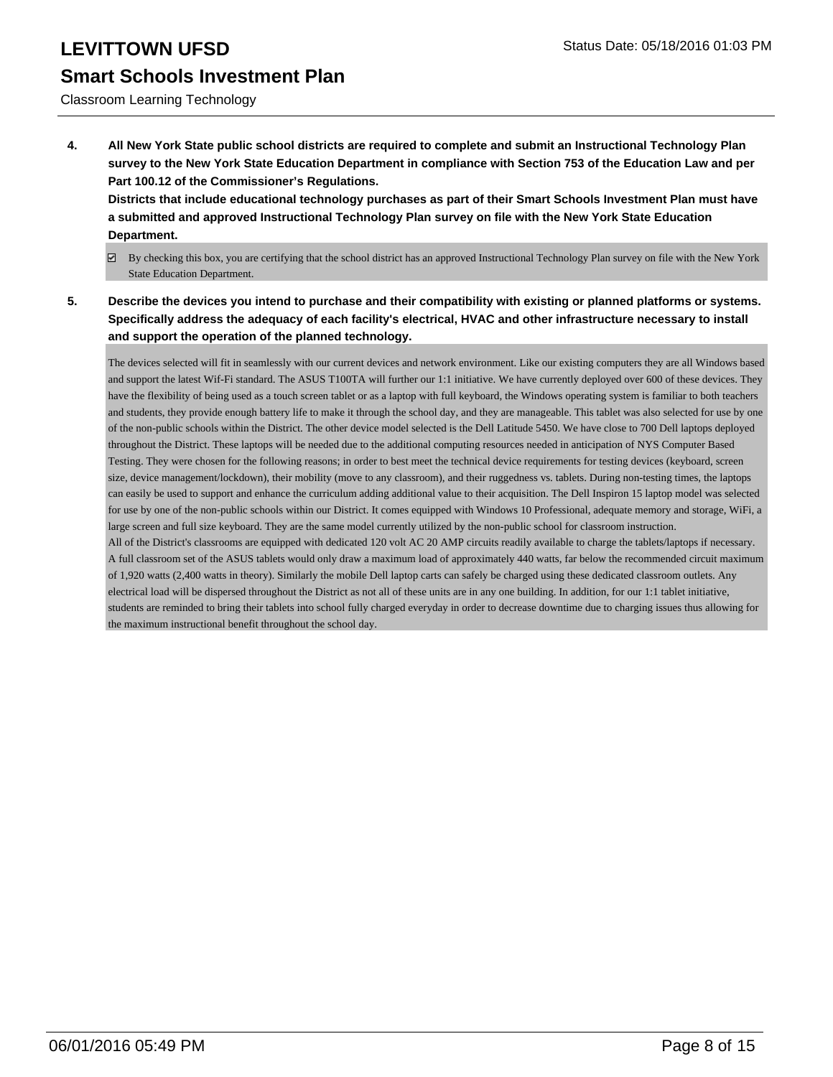#### Classroom Learning Technology

**4. All New York State public school districts are required to complete and submit an Instructional Technology Plan survey to the New York State Education Department in compliance with Section 753 of the Education Law and per Part 100.12 of the Commissioner's Regulations.**

**Districts that include educational technology purchases as part of their Smart Schools Investment Plan must have a submitted and approved Instructional Technology Plan survey on file with the New York State Education Department.**

- $\boxtimes$  By checking this box, you are certifying that the school district has an approved Instructional Technology Plan survey on file with the New York State Education Department.
- **5. Describe the devices you intend to purchase and their compatibility with existing or planned platforms or systems. Specifically address the adequacy of each facility's electrical, HVAC and other infrastructure necessary to install and support the operation of the planned technology.**

The devices selected will fit in seamlessly with our current devices and network environment. Like our existing computers they are all Windows based and support the latest Wif-Fi standard. The ASUS T100TA will further our 1:1 initiative. We have currently deployed over 600 of these devices. They have the flexibility of being used as a touch screen tablet or as a laptop with full keyboard, the Windows operating system is familiar to both teachers and students, they provide enough battery life to make it through the school day, and they are manageable. This tablet was also selected for use by one of the non-public schools within the District. The other device model selected is the Dell Latitude 5450. We have close to 700 Dell laptops deployed throughout the District. These laptops will be needed due to the additional computing resources needed in anticipation of NYS Computer Based Testing. They were chosen for the following reasons; in order to best meet the technical device requirements for testing devices (keyboard, screen size, device management/lockdown), their mobility (move to any classroom), and their ruggedness vs. tablets. During non-testing times, the laptops can easily be used to support and enhance the curriculum adding additional value to their acquisition. The Dell Inspiron 15 laptop model was selected for use by one of the non-public schools within our District. It comes equipped with Windows 10 Professional, adequate memory and storage, WiFi, a large screen and full size keyboard. They are the same model currently utilized by the non-public school for classroom instruction. All of the District's classrooms are equipped with dedicated 120 volt AC 20 AMP circuits readily available to charge the tablets/laptops if necessary. A full classroom set of the ASUS tablets would only draw a maximum load of approximately 440 watts, far below the recommended circuit maximum of 1,920 watts (2,400 watts in theory). Similarly the mobile Dell laptop carts can safely be charged using these dedicated classroom outlets. Any electrical load will be dispersed throughout the District as not all of these units are in any one building. In addition, for our 1:1 tablet initiative, students are reminded to bring their tablets into school fully charged everyday in order to decrease downtime due to charging issues thus allowing for the maximum instructional benefit throughout the school day.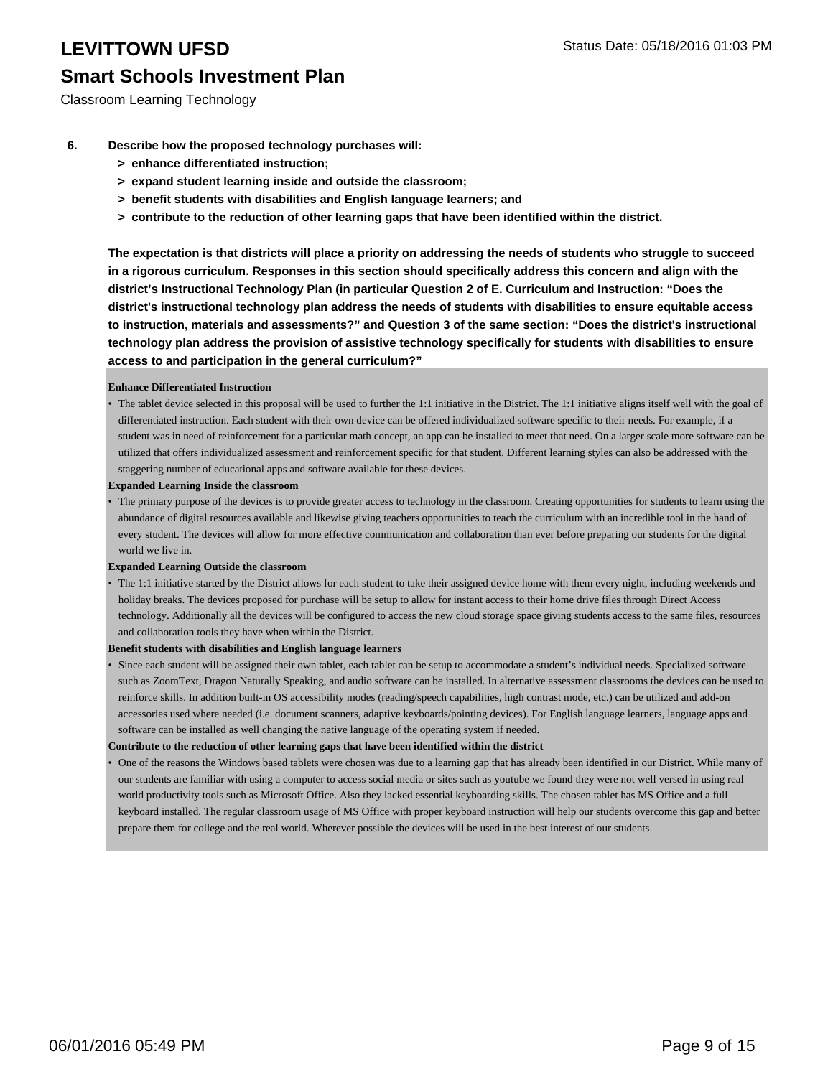Classroom Learning Technology

- **6. Describe how the proposed technology purchases will:**
	- **> enhance differentiated instruction;**
	- **> expand student learning inside and outside the classroom;**
	- **> benefit students with disabilities and English language learners; and**
	- **> contribute to the reduction of other learning gaps that have been identified within the district.**

**The expectation is that districts will place a priority on addressing the needs of students who struggle to succeed in a rigorous curriculum. Responses in this section should specifically address this concern and align with the district's Instructional Technology Plan (in particular Question 2 of E. Curriculum and Instruction: "Does the district's instructional technology plan address the needs of students with disabilities to ensure equitable access to instruction, materials and assessments?" and Question 3 of the same section: "Does the district's instructional technology plan address the provision of assistive technology specifically for students with disabilities to ensure access to and participation in the general curriculum?"**

#### **Enhance Differentiated Instruction**

- The tablet device selected in this proposal will be used to further the 1:1 initiative in the District. The 1:1 initiative aligns itself well with the goal of differentiated instruction. Each student with their own device can be offered individualized software specific to their needs. For example, if a student was in need of reinforcement for a particular math concept, an app can be installed to meet that need. On a larger scale more software can be utilized that offers individualized assessment and reinforcement specific for that student. Different learning styles can also be addressed with the staggering number of educational apps and software available for these devices.
- **Expanded Learning Inside the classroom**
- The primary purpose of the devices is to provide greater access to technology in the classroom. Creating opportunities for students to learn using the abundance of digital resources available and likewise giving teachers opportunities to teach the curriculum with an incredible tool in the hand of every student. The devices will allow for more effective communication and collaboration than ever before preparing our students for the digital world we live in.

#### **Expanded Learning Outside the classroom**

• The 1:1 initiative started by the District allows for each student to take their assigned device home with them every night, including weekends and holiday breaks. The devices proposed for purchase will be setup to allow for instant access to their home drive files through Direct Access technology. Additionally all the devices will be configured to access the new cloud storage space giving students access to the same files, resources and collaboration tools they have when within the District.

#### **Benefit students with disabilities and English language learners**

Since each student will be assigned their own tablet, each tablet can be setup to accommodate a student's individual needs. Specialized software such as ZoomText, Dragon Naturally Speaking, and audio software can be installed. In alternative assessment classrooms the devices can be used to reinforce skills. In addition built-in OS accessibility modes (reading/speech capabilities, high contrast mode, etc.) can be utilized and add-on accessories used where needed (i.e. document scanners, adaptive keyboards/pointing devices). For English language learners, language apps and software can be installed as well changing the native language of the operating system if needed. •

**Contribute to the reduction of other learning gaps that have been identified within the district**

One of the reasons the Windows based tablets were chosen was due to a learning gap that has already been identified in our District. While many of our students are familiar with using a computer to access social media or sites such as youtube we found they were not well versed in using real world productivity tools such as Microsoft Office. Also they lacked essential keyboarding skills. The chosen tablet has MS Office and a full keyboard installed. The regular classroom usage of MS Office with proper keyboard instruction will help our students overcome this gap and better prepare them for college and the real world. Wherever possible the devices will be used in the best interest of our students. •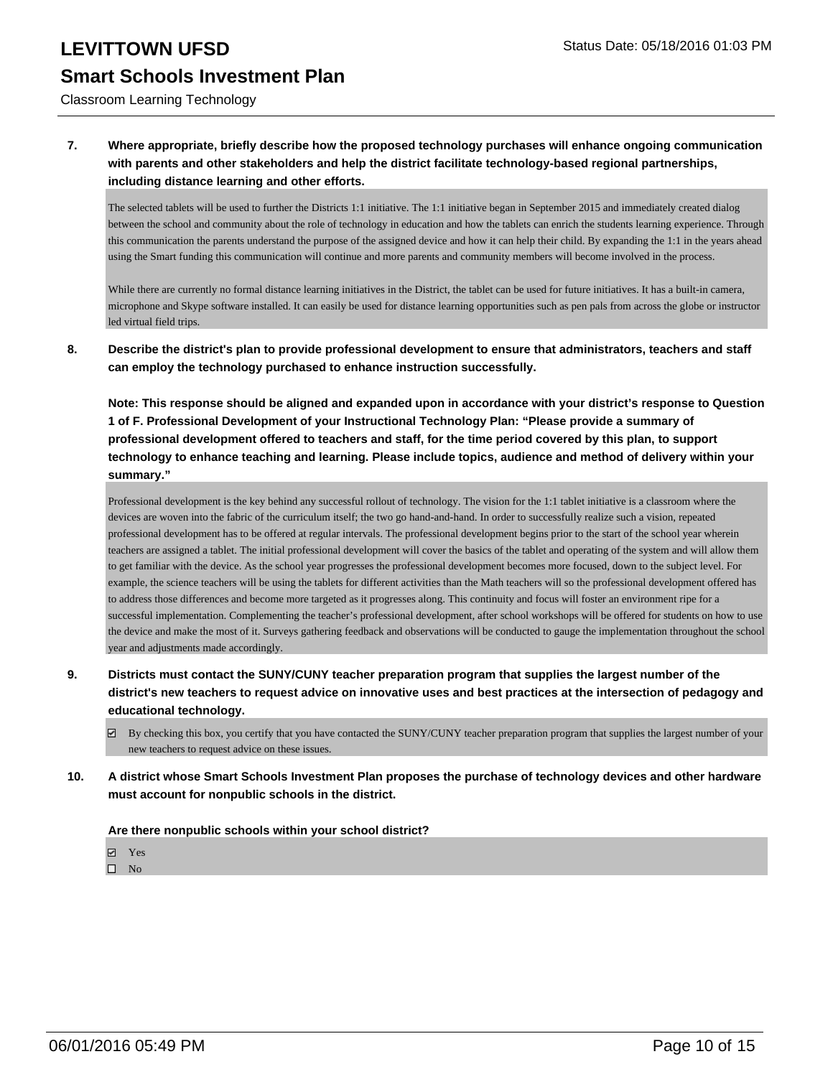Classroom Learning Technology

### **7. Where appropriate, briefly describe how the proposed technology purchases will enhance ongoing communication with parents and other stakeholders and help the district facilitate technology-based regional partnerships, including distance learning and other efforts.**

The selected tablets will be used to further the Districts 1:1 initiative. The 1:1 initiative began in September 2015 and immediately created dialog between the school and community about the role of technology in education and how the tablets can enrich the students learning experience. Through this communication the parents understand the purpose of the assigned device and how it can help their child. By expanding the 1:1 in the years ahead using the Smart funding this communication will continue and more parents and community members will become involved in the process.

While there are currently no formal distance learning initiatives in the District, the tablet can be used for future initiatives. It has a built-in camera, microphone and Skype software installed. It can easily be used for distance learning opportunities such as pen pals from across the globe or instructor led virtual field trips.

**8. Describe the district's plan to provide professional development to ensure that administrators, teachers and staff can employ the technology purchased to enhance instruction successfully.**

**Note: This response should be aligned and expanded upon in accordance with your district's response to Question 1 of F. Professional Development of your Instructional Technology Plan: "Please provide a summary of professional development offered to teachers and staff, for the time period covered by this plan, to support technology to enhance teaching and learning. Please include topics, audience and method of delivery within your summary."**

Professional development is the key behind any successful rollout of technology. The vision for the 1:1 tablet initiative is a classroom where the devices are woven into the fabric of the curriculum itself; the two go hand-and-hand. In order to successfully realize such a vision, repeated professional development has to be offered at regular intervals. The professional development begins prior to the start of the school year wherein teachers are assigned a tablet. The initial professional development will cover the basics of the tablet and operating of the system and will allow them to get familiar with the device. As the school year progresses the professional development becomes more focused, down to the subject level. For example, the science teachers will be using the tablets for different activities than the Math teachers will so the professional development offered has to address those differences and become more targeted as it progresses along. This continuity and focus will foster an environment ripe for a successful implementation. Complementing the teacher's professional development, after school workshops will be offered for students on how to use the device and make the most of it. Surveys gathering feedback and observations will be conducted to gauge the implementation throughout the school year and adjustments made accordingly.

- **9. Districts must contact the SUNY/CUNY teacher preparation program that supplies the largest number of the district's new teachers to request advice on innovative uses and best practices at the intersection of pedagogy and educational technology.**
	- $\boxtimes$  By checking this box, you certify that you have contacted the SUNY/CUNY teacher preparation program that supplies the largest number of your new teachers to request advice on these issues.
- **10. A district whose Smart Schools Investment Plan proposes the purchase of technology devices and other hardware must account for nonpublic schools in the district.**

**Are there nonpublic schools within your school district?**

- Yes
- $\square$  No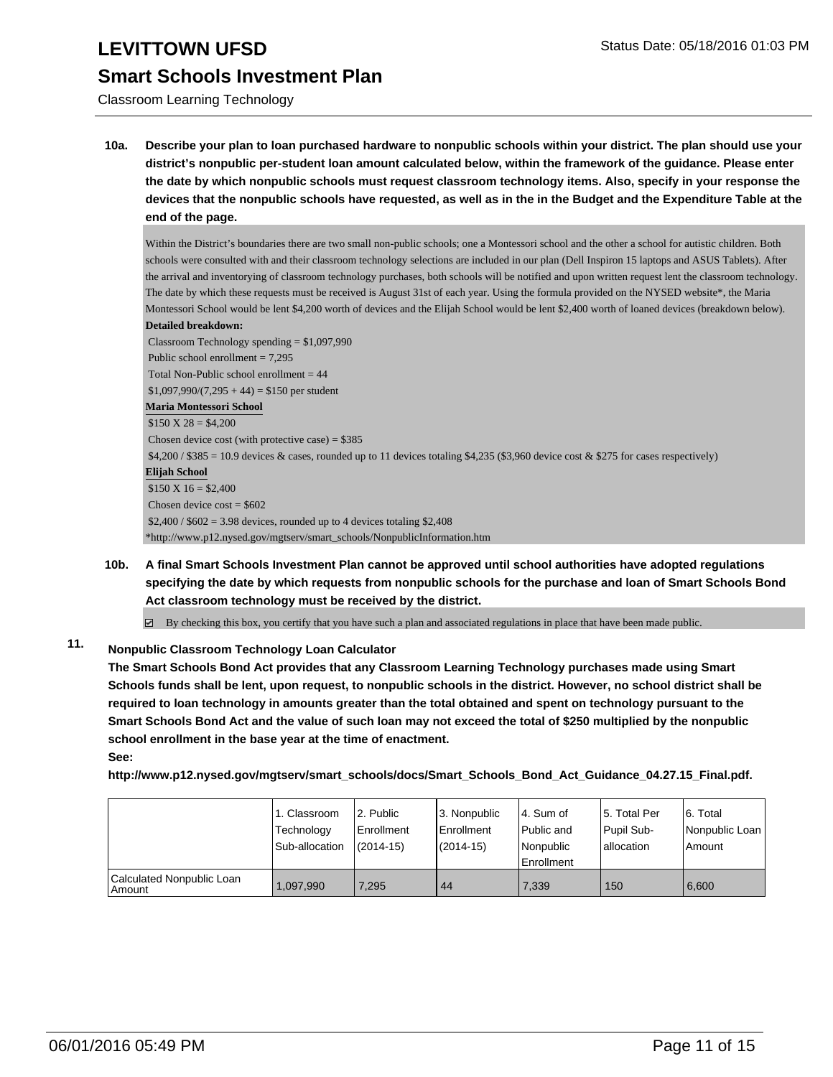Classroom Learning Technology

**10a. Describe your plan to loan purchased hardware to nonpublic schools within your district. The plan should use your district's nonpublic per-student loan amount calculated below, within the framework of the guidance. Please enter the date by which nonpublic schools must request classroom technology items. Also, specify in your response the devices that the nonpublic schools have requested, as well as in the in the Budget and the Expenditure Table at the end of the page.**

Within the District's boundaries there are two small non-public schools; one a Montessori school and the other a school for autistic children. Both schools were consulted with and their classroom technology selections are included in our plan (Dell Inspiron 15 laptops and ASUS Tablets). After the arrival and inventorying of classroom technology purchases, both schools will be notified and upon written request lent the classroom technology. The date by which these requests must be received is August 31st of each year. Using the formula provided on the NYSED website\*, the Maria Montessori School would be lent \$4,200 worth of devices and the Elijah School would be lent \$2,400 worth of loaned devices (breakdown below). **Detailed breakdown:**

 Classroom Technology spending = \$1,097,990 Public school enrollment = 7,295 Total Non-Public school enrollment  $= 44$  $$1,097,990/(7,295 + 44) = $150$  per student **Maria Montessori School**  $$150 X 28 = $4,200$ Chosen device cost (with protective case) =  $$385$  \$4,200 / \$385 = 10.9 devices & cases, rounded up to 11 devices totaling \$4,235 (\$3,960 device cost & \$275 for cases respectively) **Elijah School**  $$150 X 16 = $2,400$ Chosen device  $cost = $602$  $$2,400 / $602 = 3.98$  devices, rounded up to 4 devices totaling \$2,408 \*http://www.p12.nysed.gov/mgtserv/smart\_schools/NonpublicInformation.htm

**10b. A final Smart Schools Investment Plan cannot be approved until school authorities have adopted regulations specifying the date by which requests from nonpublic schools for the purchase and loan of Smart Schools Bond Act classroom technology must be received by the district.**

 $\boxtimes$  By checking this box, you certify that you have such a plan and associated regulations in place that have been made public.

### **11. Nonpublic Classroom Technology Loan Calculator**

**The Smart Schools Bond Act provides that any Classroom Learning Technology purchases made using Smart Schools funds shall be lent, upon request, to nonpublic schools in the district. However, no school district shall be required to loan technology in amounts greater than the total obtained and spent on technology pursuant to the Smart Schools Bond Act and the value of such loan may not exceed the total of \$250 multiplied by the nonpublic school enrollment in the base year at the time of enactment.**

**See:**

**http://www.p12.nysed.gov/mgtserv/smart\_schools/docs/Smart\_Schools\_Bond\_Act\_Guidance\_04.27.15\_Final.pdf.**

|                                       | 1. Classroom<br>Technology<br>Sub-allocation | 2. Public<br>Enrollment<br>$(2014-15)$ | 3. Nonpublic<br>Enrollment<br>$(2014 - 15)$ | 4. Sum of<br>Public and<br>Nonpublic<br>l Enrollment | 5. Total Per<br>Pupil Sub-<br>lallocation | 6. Total<br>  Nonpublic Loan  <br>Amount |
|---------------------------------------|----------------------------------------------|----------------------------------------|---------------------------------------------|------------------------------------------------------|-------------------------------------------|------------------------------------------|
| Calculated Nonpublic Loan<br>  Amount | 1,097,990                                    | 7.295                                  | 44                                          | 7,339                                                | 150                                       | 6,600                                    |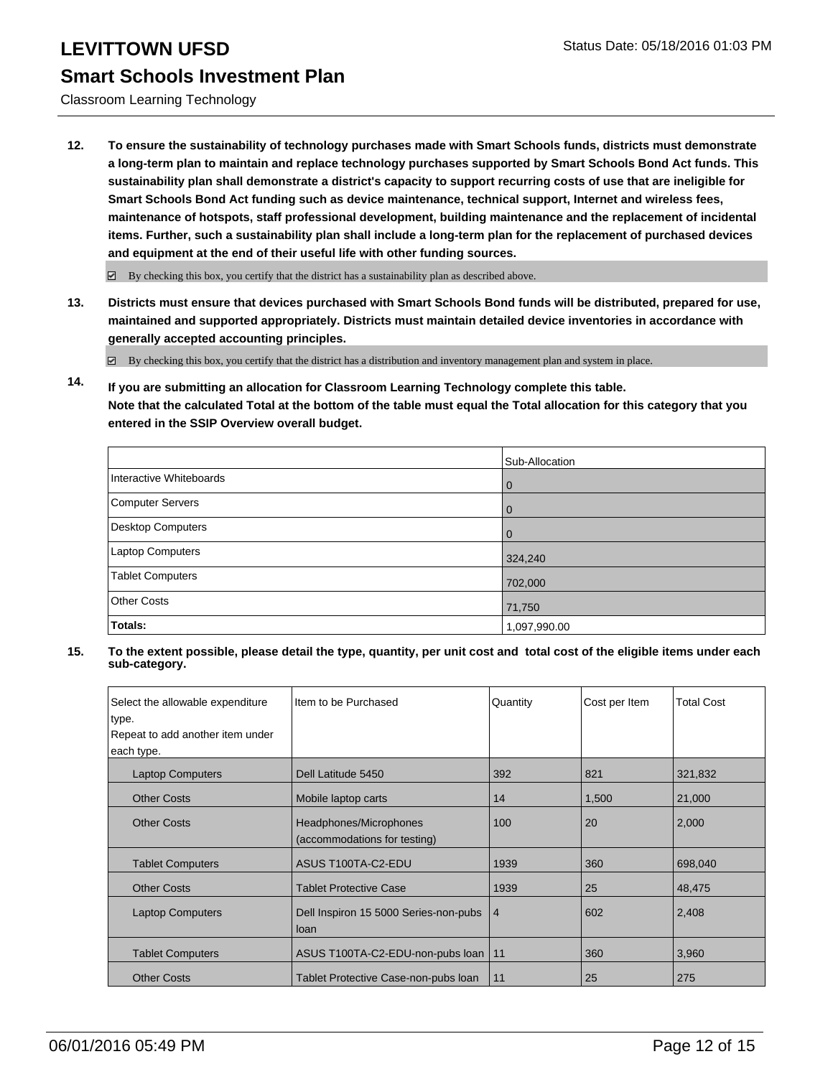Classroom Learning Technology

**12. To ensure the sustainability of technology purchases made with Smart Schools funds, districts must demonstrate a long-term plan to maintain and replace technology purchases supported by Smart Schools Bond Act funds. This sustainability plan shall demonstrate a district's capacity to support recurring costs of use that are ineligible for Smart Schools Bond Act funding such as device maintenance, technical support, Internet and wireless fees, maintenance of hotspots, staff professional development, building maintenance and the replacement of incidental items. Further, such a sustainability plan shall include a long-term plan for the replacement of purchased devices and equipment at the end of their useful life with other funding sources.**

 $\boxdot$  By checking this box, you certify that the district has a sustainability plan as described above.

**13. Districts must ensure that devices purchased with Smart Schools Bond funds will be distributed, prepared for use, maintained and supported appropriately. Districts must maintain detailed device inventories in accordance with generally accepted accounting principles.**

By checking this box, you certify that the district has a distribution and inventory management plan and system in place.

**14. If you are submitting an allocation for Classroom Learning Technology complete this table. Note that the calculated Total at the bottom of the table must equal the Total allocation for this category that you entered in the SSIP Overview overall budget.**

|                          | Sub-Allocation |
|--------------------------|----------------|
| Interactive Whiteboards  | $\mathbf 0$    |
| Computer Servers         | $\mathbf 0$    |
| <b>Desktop Computers</b> | $\Omega$       |
| Laptop Computers         | 324,240        |
| <b>Tablet Computers</b>  | 702,000        |
| <b>Other Costs</b>       | 71,750         |
| Totals:                  | 1,097,990.00   |

| Select the allowable expenditure | Item to be Purchased                          | Quantity       | Cost per Item | <b>Total Cost</b> |
|----------------------------------|-----------------------------------------------|----------------|---------------|-------------------|
| type.                            |                                               |                |               |                   |
| Repeat to add another item under |                                               |                |               |                   |
| each type.                       |                                               |                |               |                   |
| <b>Laptop Computers</b>          | Dell Latitude 5450                            | 392            | 821           | 321,832           |
| <b>Other Costs</b>               | Mobile laptop carts                           | 14             | 1,500         | 21,000            |
| <b>Other Costs</b>               | Headphones/Microphones                        | 100            | 20            | 2,000             |
|                                  | (accommodations for testing)                  |                |               |                   |
| <b>Tablet Computers</b>          | ASUS T100TA-C2-EDU                            | 1939           | 360           | 698,040           |
| <b>Other Costs</b>               | <b>Tablet Protective Case</b>                 | 1939           | 25            | 48,475            |
| <b>Laptop Computers</b>          | Dell Inspiron 15 5000 Series-non-pubs<br>loan | $\overline{4}$ | 602           | 2,408             |
| <b>Tablet Computers</b>          | ASUS T100TA-C2-EDU-non-pubs loan              | 11             | 360           | 3,960             |
| <b>Other Costs</b>               | Tablet Protective Case-non-pubs loan          | 11             | 25            | 275               |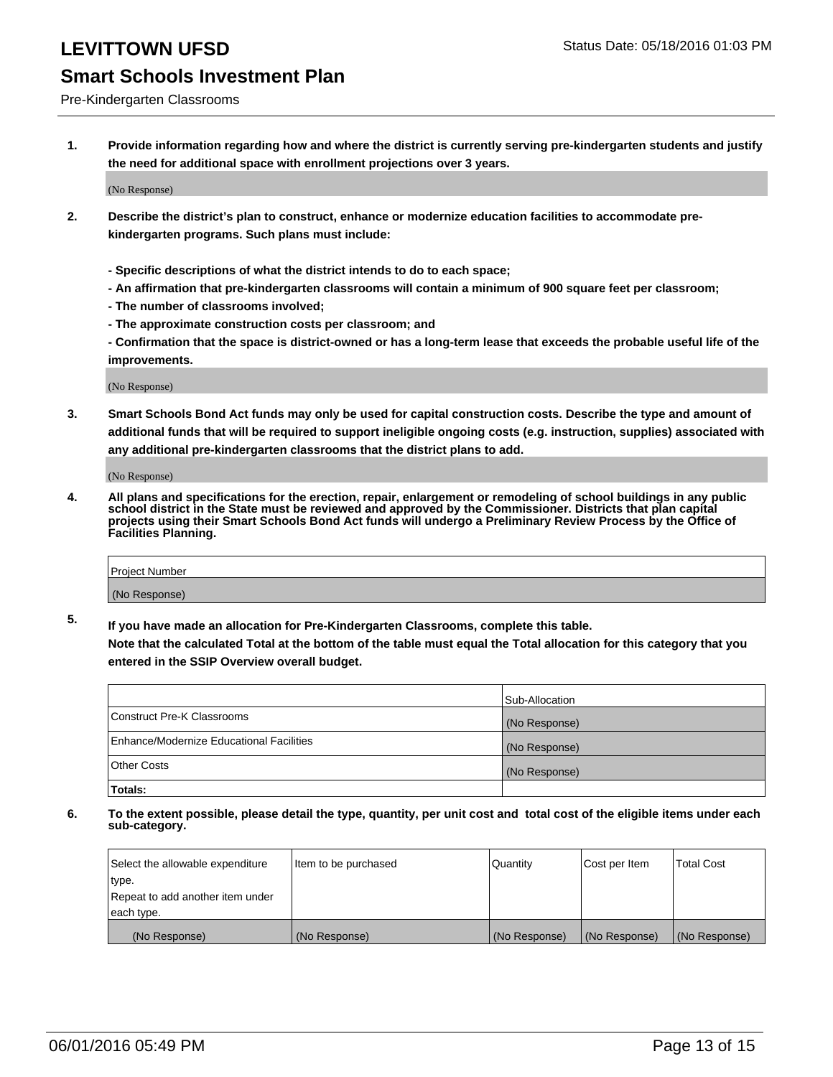Pre-Kindergarten Classrooms

**1. Provide information regarding how and where the district is currently serving pre-kindergarten students and justify the need for additional space with enrollment projections over 3 years.**

(No Response)

- **2. Describe the district's plan to construct, enhance or modernize education facilities to accommodate prekindergarten programs. Such plans must include:**
	- **Specific descriptions of what the district intends to do to each space;**
	- **An affirmation that pre-kindergarten classrooms will contain a minimum of 900 square feet per classroom;**
	- **The number of classrooms involved;**
	- **The approximate construction costs per classroom; and**
	- **Confirmation that the space is district-owned or has a long-term lease that exceeds the probable useful life of the improvements.**

(No Response)

**3. Smart Schools Bond Act funds may only be used for capital construction costs. Describe the type and amount of additional funds that will be required to support ineligible ongoing costs (e.g. instruction, supplies) associated with any additional pre-kindergarten classrooms that the district plans to add.**

(No Response)

**4. All plans and specifications for the erection, repair, enlargement or remodeling of school buildings in any public school district in the State must be reviewed and approved by the Commissioner. Districts that plan capital projects using their Smart Schools Bond Act funds will undergo a Preliminary Review Process by the Office of Facilities Planning.**

| Project Number |  |
|----------------|--|
| (No Response)  |  |

**5. If you have made an allocation for Pre-Kindergarten Classrooms, complete this table. Note that the calculated Total at the bottom of the table must equal the Total allocation for this category that you**

**entered in the SSIP Overview overall budget.**

|                                          | Sub-Allocation |
|------------------------------------------|----------------|
| Construct Pre-K Classrooms               | (No Response)  |
| Enhance/Modernize Educational Facilities | (No Response)  |
| Other Costs                              | (No Response)  |
| Totals:                                  |                |

| Select the allowable expenditure | Item to be purchased | l Quantitv    | Cost per Item | <b>Total Cost</b> |
|----------------------------------|----------------------|---------------|---------------|-------------------|
| type.                            |                      |               |               |                   |
| Repeat to add another item under |                      |               |               |                   |
| each type.                       |                      |               |               |                   |
| (No Response)                    | (No Response)        | (No Response) | (No Response) | (No Response)     |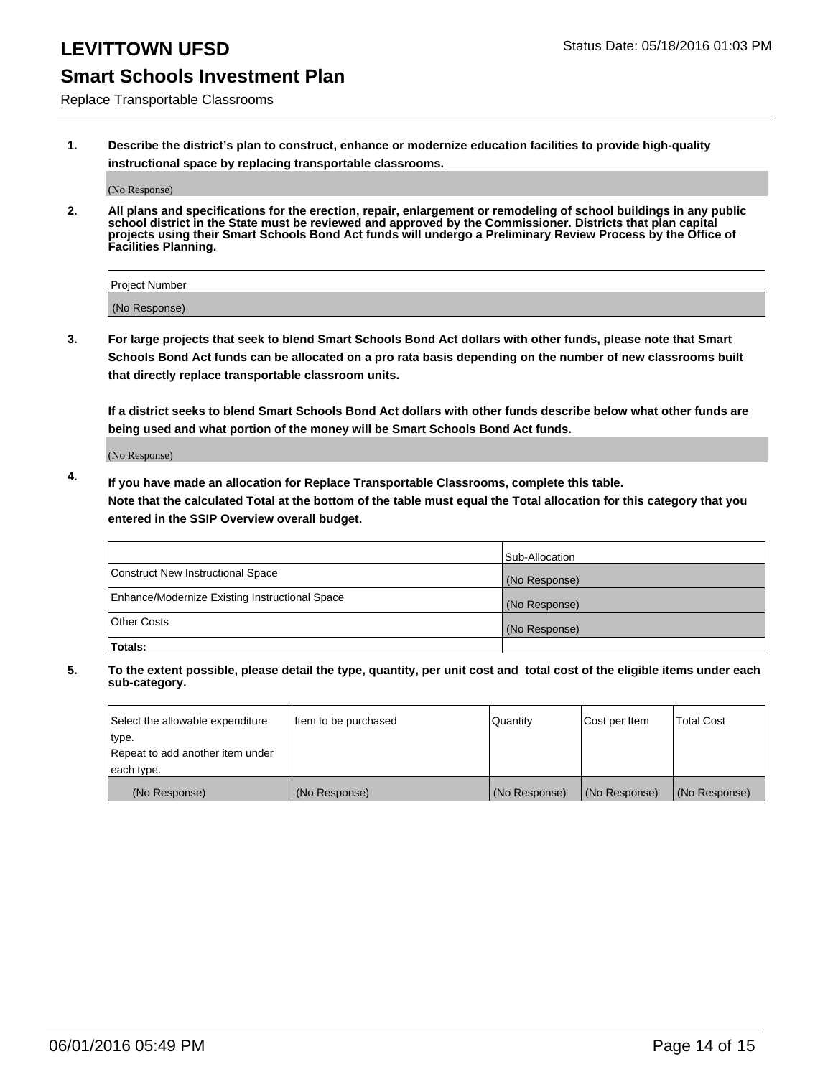Replace Transportable Classrooms

**1. Describe the district's plan to construct, enhance or modernize education facilities to provide high-quality instructional space by replacing transportable classrooms.**

(No Response)

**2. All plans and specifications for the erection, repair, enlargement or remodeling of school buildings in any public school district in the State must be reviewed and approved by the Commissioner. Districts that plan capital projects using their Smart Schools Bond Act funds will undergo a Preliminary Review Process by the Office of Facilities Planning.**

| Project Number |  |
|----------------|--|
| (No Response)  |  |

**3. For large projects that seek to blend Smart Schools Bond Act dollars with other funds, please note that Smart Schools Bond Act funds can be allocated on a pro rata basis depending on the number of new classrooms built that directly replace transportable classroom units.**

**If a district seeks to blend Smart Schools Bond Act dollars with other funds describe below what other funds are being used and what portion of the money will be Smart Schools Bond Act funds.**

(No Response)

**4. If you have made an allocation for Replace Transportable Classrooms, complete this table. Note that the calculated Total at the bottom of the table must equal the Total allocation for this category that you entered in the SSIP Overview overall budget.**

|                                                | Sub-Allocation |
|------------------------------------------------|----------------|
| Construct New Instructional Space              | (No Response)  |
| Enhance/Modernize Existing Instructional Space | (No Response)  |
| <b>Other Costs</b>                             | (No Response)  |
| Totals:                                        |                |

| Select the allowable expenditure | Item to be purchased | <b>Quantity</b> | Cost per Item | <b>Total Cost</b> |
|----------------------------------|----------------------|-----------------|---------------|-------------------|
| type.                            |                      |                 |               |                   |
| Repeat to add another item under |                      |                 |               |                   |
| each type.                       |                      |                 |               |                   |
| (No Response)                    | (No Response)        | (No Response)   | (No Response) | (No Response)     |